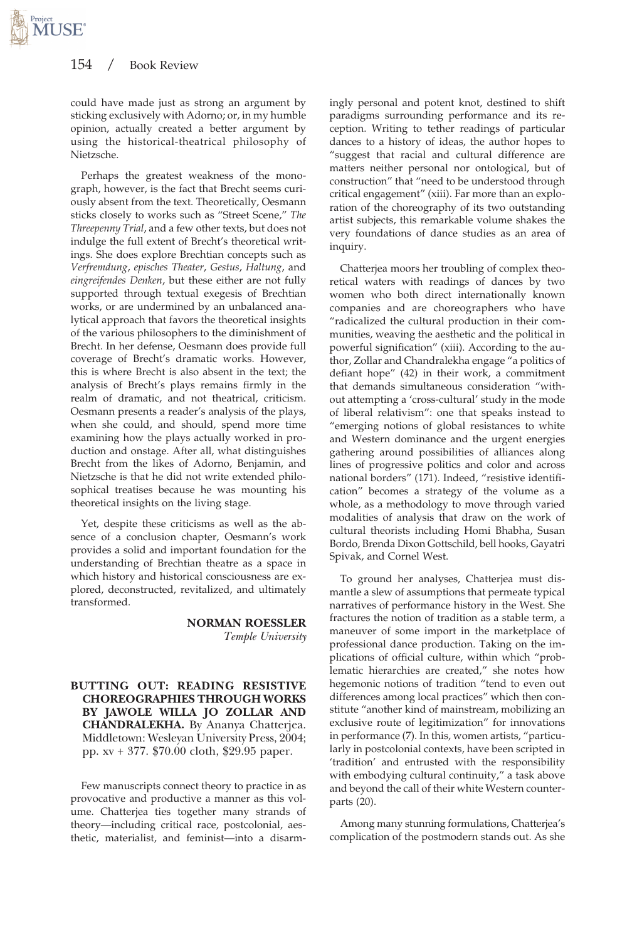could have made just as strong an argument by sticking exclusively with Adorno; or, in my humble opinion, actually created a better argument by using the historical-theatrical philosophy of Nietzsche.

Perhaps the greatest weakness of the monograph, however, is the fact that Brecht seems curiously absent from the text. Theoretically, Oesmann sticks closely to works such as "Street Scene," *The Threepenny Trial*, and a few other texts, but does not indulge the full extent of Brecht's theoretical writings. She does explore Brechtian concepts such as *Verfremdung*, *episches Theater*, *Gestus*, *Haltung*, and *eingreifendes Denken*, but these either are not fully supported through textual exegesis of Brechtian works, or are undermined by an unbalanced analytical approach that favors the theoretical insights of the various philosophers to the diminishment of Brecht. In her defense, Oesmann does provide full coverage of Brecht's dramatic works. However, this is where Brecht is also absent in the text; the analysis of Brecht's plays remains firmly in the realm of dramatic, and not theatrical, criticism. Oesmann presents a reader's analysis of the plays, when she could, and should, spend more time examining how the plays actually worked in production and onstage. After all, what distinguishes Brecht from the likes of Adorno, Benjamin, and Nietzsche is that he did not write extended philosophical treatises because he was mounting his theoretical insights on the living stage.

Yet, despite these criticisms as well as the absence of a conclusion chapter, Oesmann's work provides a solid and important foundation for the understanding of Brechtian theatre as a space in which history and historical consciousness are explored, deconstructed, revitalized, and ultimately transformed.

> **NORMAN ROESSLER** *Temple University*

**BUTTING OUT: READING RESISTIVE CHOREOGRAPHIES THROUGH WORKS BY JAWOLE WILLA JO ZOLLAR AND CHANDRALEKHA.** By Ananya Chatterjea. Middletown: Wesleyan University Press, 2004; pp. xv + 377. \$70.00 cloth, \$29.95 paper.

Few manuscripts connect theory to practice in as provocative and productive a manner as this volume. Chatterjea ties together many strands of theory—including critical race, postcolonial, aesthetic, materialist, and feminist—into a disarmingly personal and potent knot, destined to shift paradigms surrounding performance and its reception. Writing to tether readings of particular dances to a history of ideas, the author hopes to "suggest that racial and cultural difference are matters neither personal nor ontological, but of construction" that "need to be understood through critical engagement" (xiii). Far more than an exploration of the choreography of its two outstanding artist subjects, this remarkable volume shakes the very foundations of dance studies as an area of inquiry.

Chatterjea moors her troubling of complex theoretical waters with readings of dances by two women who both direct internationally known companies and are choreographers who have "radicalized the cultural production in their communities, weaving the aesthetic and the political in powerful signification" (xiii). According to the author, Zollar and Chandralekha engage "a politics of defiant hope" (42) in their work, a commitment that demands simultaneous consideration "without attempting a 'cross-cultural' study in the mode of liberal relativism": one that speaks instead to "emerging notions of global resistances to white and Western dominance and the urgent energies gathering around possibilities of alliances along lines of progressive politics and color and across national borders" (171). Indeed, "resistive identification" becomes a strategy of the volume as a whole, as a methodology to move through varied modalities of analysis that draw on the work of cultural theorists including Homi Bhabha, Susan Bordo, Brenda Dixon Gottschild, bell hooks, Gayatri Spivak, and Cornel West.

To ground her analyses, Chatterjea must dismantle a slew of assumptions that permeate typical narratives of performance history in the West. She fractures the notion of tradition as a stable term, a maneuver of some import in the marketplace of professional dance production. Taking on the implications of official culture, within which "problematic hierarchies are created," she notes how hegemonic notions of tradition "tend to even out differences among local practices" which then constitute "another kind of mainstream, mobilizing an exclusive route of legitimization" for innovations in performance (7). In this, women artists, "particularly in postcolonial contexts, have been scripted in 'tradition' and entrusted with the responsibility with embodying cultural continuity," a task above and beyond the call of their white Western counterparts (20).

Among many stunning formulations, Chatterjea's complication of the postmodern stands out. As she